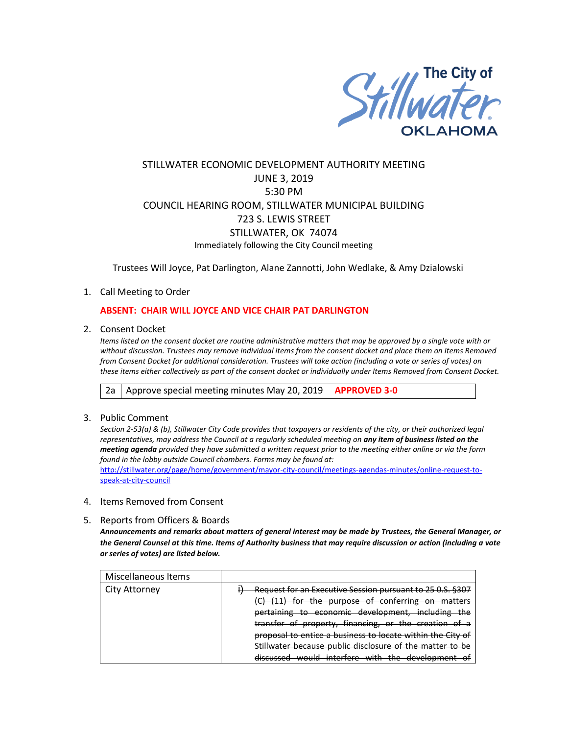

# STILLWATER ECONOMIC DEVELOPMENT AUTHORITY MEETING JUNE 3, 2019 5:30 PM COUNCIL HEARING ROOM, STILLWATER MUNICIPAL BUILDING 723 S. LEWIS STREET STILLWATER, OK 74074 Immediately following the City Council meeting

Trustees Will Joyce, Pat Darlington, Alane Zannotti, John Wedlake, & Amy Dzialowski

## 1. Call Meeting to Order

## **ABSENT: CHAIR WILL JOYCE AND VICE CHAIR PAT DARLINGTON**

2. Consent Docket

*Items listed on the consent docket are routine administrative matters that may be approved by a single vote with or without discussion. Trustees may remove individual items from the consent docket and place them on Items Removed from Consent Docket for additional consideration. Trustees will take action (including a vote or series of votes) on these items either collectively as part of the consent docket or individually under Items Removed from Consent Docket.*

2a | Approve special meeting minutes May 20, 2019 **APPROVED 3-0** 

#### 3. Public Comment

*Section 2-53(a) & (b), Stillwater City Code provides that taxpayers or residents of the city, or their authorized legal representatives, may address the Council at a regularly scheduled meeting on any item of business listed on the meeting agenda provided they have submitted a written request prior to the meeting either online or via the form found in the lobby outside Council chambers. Forms may be found at:* 

[http://stillwater.org/page/home/government/mayor-city-council/meetings-agendas-minutes/online-request-to](http://stillwater.org/page/home/government/mayor-city-council/meetings-agendas-minutes/online-request-to-speak-at-city-council)[speak-at-city-council](http://stillwater.org/page/home/government/mayor-city-council/meetings-agendas-minutes/online-request-to-speak-at-city-council)

- 4. Items Removed from Consent
- 5. Reports from Officers & Boards

*Announcements and remarks about matters of general interest may be made by Trustees, the General Manager, or the General Counsel at this time. Items of Authority business that may require discussion or action (including a vote or series of votes) are listed below.*

| Miscellaneous Items |                                                            |
|---------------------|------------------------------------------------------------|
| City Attorney       | Request for an Executive Session pursuant to 25 0.S. §307  |
|                     | (C) (11) for the purpose of conferring on matters          |
|                     | pertaining to economic development, including the          |
|                     | transfer of property, financing, or the creation of a      |
|                     | proposal to entice a business to locate within the City of |
|                     | Stillwater because public disclosure of the matter to be   |
|                     | discussed would interfere with the development of          |